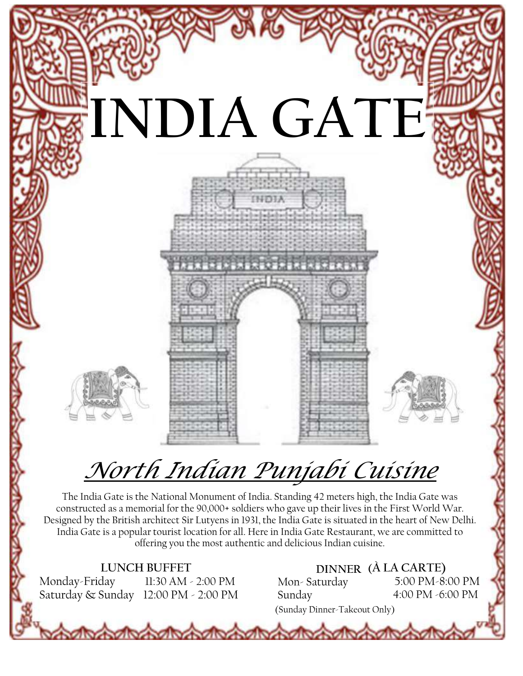

# *North Indian Punjabi Cuisine*

The India Gate is the National Monument of India. Standing 42 meters high, the India Gate was constructed as a memorial for the 90,000+ soldiers who gave up their lives in the First World War. Designed by the British architect Sir Lutyens in 1931, the India Gate is situated in the heart of New Delhi. India Gate is a popular tourist location for all. Here in India Gate Restaurant, we are committed to offering you the most authentic and delicious Indian cuisine.

**LUNCH BUFFET**<br>Monday-Friday 11:30 AM 11:30 AM - 2:00 PM Saturday & Sunday 12:00 PM - 2:00 PM

*<u>Robert Mondiversity</u>* 

**DINNER (À LA CARTE)** Mon- Saturday Sunday 5:00 PM-8:00 PM 4:00 PM -6:00 PM (Sunday Dinner-Takeout Only)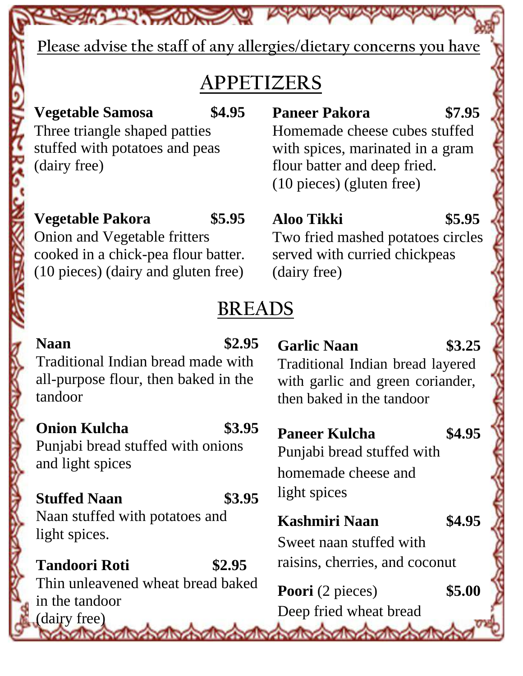**Please advise the staff of any allergies/dietary concerns you have**

# **APPETIZERS**

# **Vegetable Samosa \$4.95**

**PARTICULAR COMPANY** 

Three triangle shaped patties stuffed with potatoes and peas (dairy free)

## **Vegetable Pakora \$5.95**

Onion and Vegetable fritters cooked in a chick-pea flour batter. (10 pieces) (dairy and gluten free)

# **Paneer Pakora \$7.95**

Homemade cheese cubes stuffed with spices, marinated in a gram flour batter and deep fried. (10 pieces) (gluten free)

# **Aloo Tikki \$5.95**

Two fried mashed potatoes circles served with curried chickpeas (dairy free)

# **BREADS**

#### **Naan \$2.95** Traditional Indian bread made with all-purpose flour, then baked in the tandoor **Onion Kulcha \$3.95** Punjabi bread stuffed with onions and light spices **Stuffed Naan \$3.95** Naan stuffed with potatoes and light spices. **Tandoori Roti \$2.95** Thin unleavened wheat bread baked in the tandoor (dairy free) **Garlic Naan \$3.25** Traditional Indian bread layered with garlic and green coriander, then baked in the tandoor **Paneer Kulcha \$4.95** Punjabi bread stuffed with homemade cheese and light spices **Kashmiri Naan \$4.95** Sweet naan stuffed with raisins, cherries, and coconut **Poori** (2 pieces) \$5.00 Deep fried wheat bread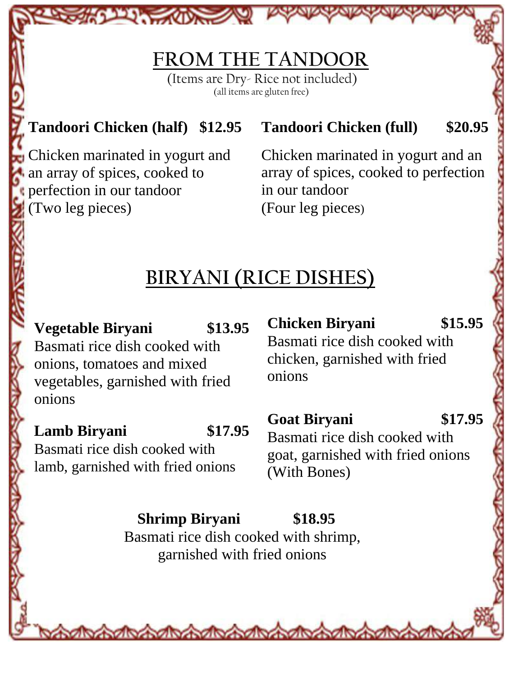# **FROM THE TANDOOR**

(Items are Dry- Rice not included) (all items are gluten free)

# **Tandoori Chicken (half) \$12.95 Tandoori Chicken (full) \$20.95**

**CONTRACTOR** 

perfection in our tandoor in our tandoor (Two leg pieces) (Four leg pieces)

Chicken marinated in yogurt and Chicken marinated in yogurt and an an array of spices, cooked to array of spices, cooked to perfection

# **BIRYANI (RICE DISHES)**

**Vegetable Biryani \$13.95**

Basmati rice dish cooked with onions, tomatoes and mixed vegetables, garnished with fried onions

## **Lamb Biryani \$17.95**

Basmati rice dish cooked with lamb, garnished with fried onions **Chicken Biryani \$15.95** Basmati rice dish cooked with chicken, garnished with fried onions

# **Goat Biryani \$17.95**

Basmati rice dish cooked with goat, garnished with fried onions (With Bones)

**Shrimp Biryani \$18.95**

Basmati rice dish cooked with shrimp, garnished with fried onions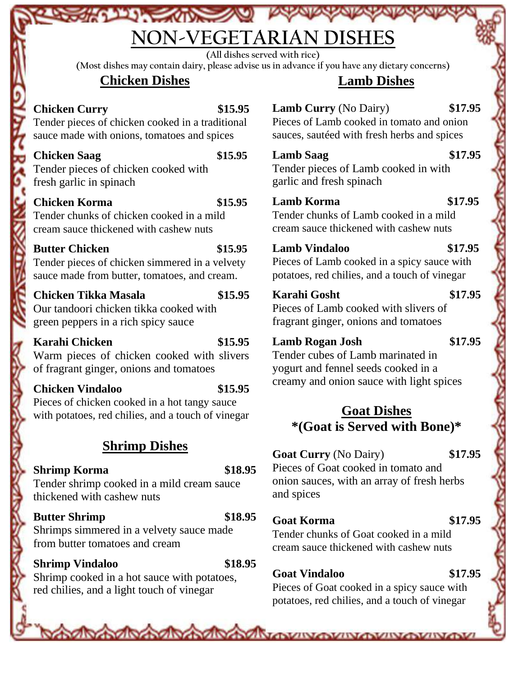# **NON-VEGETARIAN DISHES**

**(All dishes served with rice)**

**(Most dishes may contain dairy, please advise us in advance if you have any dietary concerns)**

#### **Chicken Dishes**

**CALIFORNIA CALIFORNIA** 

## **Chicken Curry \$15.95**

Tender pieces of chicken cooked in a traditional sauce made with onions, tomatoes and spices

#### **Chicken Saag \$15.95**

Tender pieces of chicken cooked with fresh garlic in spinach

#### **Chicken Korma \$15.95**

Tender chunks of chicken cooked in a mild cream sauce thickened with cashew nuts

#### **Butter Chicken \$15.95**

Tender pieces of chicken simmered in a velvety sauce made from butter, tomatoes, and cream.

#### **Chicken Tikka Masala \$15.95**

Our tandoori chicken tikka cooked with green peppers in a rich spicy sauce

#### **Karahi Chicken \$15.95**

Warm pieces of chicken cooked with slivers of fragrant ginger, onions and tomatoes

#### **Chicken Vindaloo \$15.95**

Pieces of chicken cooked in a hot tangy sauce with potatoes, red chilies, and a touch of vinegar

## **Shrimp Dishes**

#### **Shrimp Korma \$18.95**

Tender shrimp cooked in a mild cream sauce thickened with cashew nuts

#### **Butter Shrimp \$18.95**

Shrimps simmered in a velvety sauce made from butter tomatoes and cream

### **Shrimp Vindaloo \$18.95**

Shrimp cooked in a hot sauce with potatoes, red chilies, and a light touch of vinegar

## **Lamb Dishes**

**Lamb Curry** (No Dairy) **\$17.95**

Pieces of Lamb cooked in tomato and onion sauces, sautéed with fresh herbs and spices

### **Lamb Saag \$17.95**

Tender pieces of Lamb cooked in with garlic and fresh spinach

## **Lamb Korma \$17.95**

Tender chunks of Lamb cooked in a mild cream sauce thickened with cashew nuts

#### **Lamb Vindaloo \$17.95**

Pieces of Lamb cooked in a spicy sauce with potatoes, red chilies, and a touch of vinegar

#### **Karahi Gosht \$17.95**

Pieces of Lamb cooked with slivers of fragrant ginger, onions and tomatoes

#### **Lamb Rogan Josh \$17.95**

Tender cubes of Lamb marinated in yogurt and fennel seeds cooked in a creamy and onion sauce with light spices

## **Goat Dishes \*(Goat is Served with Bone)\***

#### **Goat Curry** (No Dairy) **\$17.95**

Pieces of Goat cooked in tomato and onion sauces, with an array of fresh herbs and spices

#### **Goat Korma \$17.95**

Tender chunks of Goat cooked in a mild cream sauce thickened with cashew nuts

### **Goat Vindaloo \$17.95**

**Mondo Alexandra Alexandra Vivoya Vivoya Vivoya** 

Pieces of Goat cooked in a spicy sauce with potatoes, red chilies, and a touch of vinegar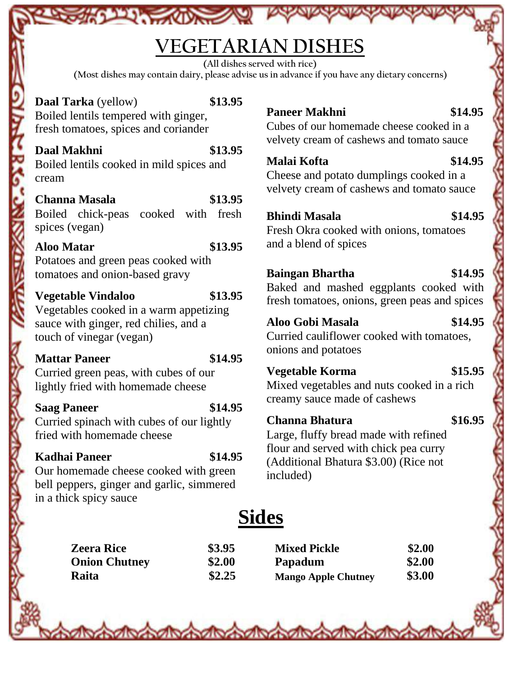# **VEGETARIAN DISHES**

**(All dishes served with rice)**

**(Most dishes may contain dairy, please advise us in advance if you have any dietary concerns)**

**Daal Tarka** (yellow) **\$13.95** Boiled lentils tempered with ginger, fresh tomatoes, spices and coriander

**Participants** 

## **Daal Makhni \$13.95**

Boiled lentils cooked in mild spices and cream

#### **Channa Masala \$13.95**

Boiled chick-peas cooked with fresh spices (vegan)

#### **Aloo Matar \$13.95**

Potatoes and green peas cooked with tomatoes and onion-based gravy

#### **Vegetable Vindaloo \$13.95**

Vegetables cooked in a warm appetizing sauce with ginger, red chilies, and a touch of vinegar (vegan)

#### **Mattar Paneer \$14.95**

Curried green peas, with cubes of our lightly fried with homemade cheese

#### **Saag Paneer \$14.95**

Curried spinach with cubes of our lightly fried with homemade cheese

#### **Kadhai Paneer \$14.95**

Our homemade cheese cooked with green bell peppers, ginger and garlic, simmered in a thick spicy sauce

## **Paneer Makhni \$14.95**

Cubes of our homemade cheese cooked in a velvety cream of cashews and tomato sauce

## **Malai Kofta \$14.95**

Cheese and potato dumplings cooked in a velvety cream of cashews and tomato sauce

#### **Bhindi Masala \$14.95**

Fresh Okra cooked with onions, tomatoes and a blend of spices

#### **Baingan Bhartha \$14.95**

Baked and mashed eggplants cooked with fresh tomatoes, onions, green peas and spices

### **Aloo Gobi Masala \$14.95**

Curried cauliflower cooked with tomatoes, onions and potatoes

#### **Vegetable Korma \$15.95**

Mixed vegetables and nuts cooked in a rich creamy sauce made of cashews

### **Channa Bhatura \$16.95**

Large, fluffy bread made with refined flour and served with chick pea curry (Additional Bhatura \$3.00) (Rice not included)

# **Sides**

**Zeera Rice \$3.95 Mixed Pickle \$2.00 Onion Chutney \$2.00 Papadum \$2.00 Raita \$2.25 Mango Apple Chutney \$3.00**